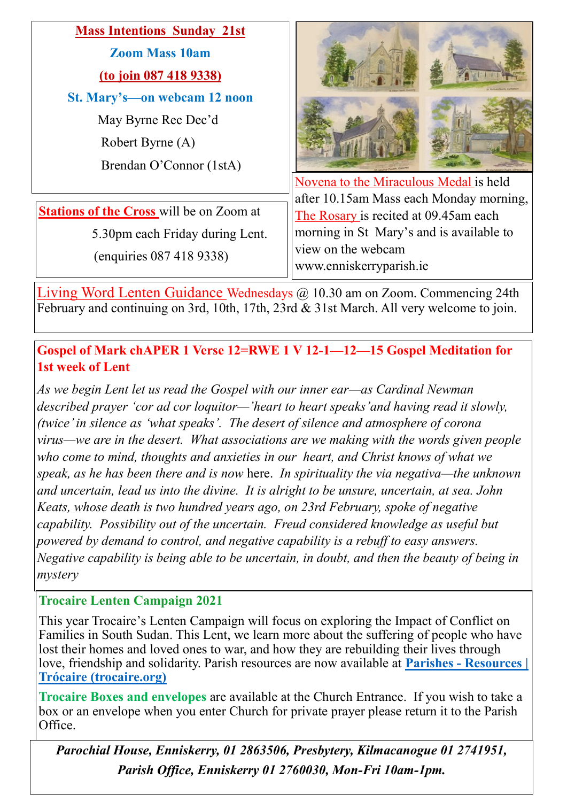| <b>Mass Intentions Sunday 21st</b>              |                                          |
|-------------------------------------------------|------------------------------------------|
| <b>Zoom Mass 10am</b>                           |                                          |
| (to join 087 418 9338)                          |                                          |
| St. Mary's-on webcam 12 noon                    |                                          |
| May Byrne Rec Dec'd                             |                                          |
| Robert Byrne (A)                                |                                          |
| Brendan O'Connor (1stA)                         |                                          |
|                                                 | Novena to the Miraculous Medal is held   |
|                                                 | after 10.15am Mass each Monday morning,  |
| <b>Stations of the Cross</b> will be on Zoom at | The Rosary is recited at 09.45am each    |
| 5.30pm each Friday during Lent.                 | morning in St Mary's and is available to |
|                                                 | view on the webcam                       |
| (enquiries 087 418 9338)                        | www.enniskerryparish.ie                  |

Living Word Lenten Guidance Wednesdays @ 10.30 am on Zoom. Commencing 24th February and continuing on 3rd, 10th, 17th, 23rd & 31st March. All very welcome to join.

**Gospel of Mark chAPER 1 Verse 12=RWE 1 V 12-1—12—15 Gospel Meditation for 1st week of Lent**

*As we begin Lent let us read the Gospel with our inner ear—as Cardinal Newman described prayer 'cor ad cor loquitor—'heart to heart speaks'and having read it slowly, (twice' in silence as 'what speaks'. The desert of silence and atmosphere of corona virus—we are in the desert. What associations are we making with the words given people who come to mind, thoughts and anxieties in our heart, and Christ knows of what we speak, as he has been there and is now* here. *In spirituality the via negativa—the unknown and uncertain, lead us into the divine. It is alright to be unsure, uncertain, at sea. John Keats, whose death is two hundred years ago, on 23rd February, spoke of negative capability. Possibility out of the uncertain. Freud considered knowledge as useful but powered by demand to control, and negative capability is a rebuff to easy answers. Negative capability is being able to be uncertain, in doubt, and then the beauty of being in mystery*

### **Trocaire Lenten Campaign 2021**

This year Trocaire's Lenten Campaign will focus on exploring the Impact of Conflict on Families in South Sudan. This Lent, we learn more about the suffering of people who have lost their homes and loved ones to war, and how they are rebuilding their lives through love, friendship and solidarity. Parish resources are now available at **Parishes - [Resources |](https://www.trocaire.org/our-work/working-in-ireland/parishes/resources/)  [Trócaire \(trocaire.org\)](https://www.trocaire.org/our-work/working-in-ireland/parishes/resources/)**

**Trocaire Boxes and envelopes** are available at the Church Entrance. If you wish to take a box or an envelope when you enter Church for private prayer please return it to the Parish Office.

*Parochial House, Enniskerry, 01 2863506, Presbytery, Kilmacanogue 01 2741951, Parish Office, Enniskerry 01 2760030, Mon-Fri 10am-1pm.*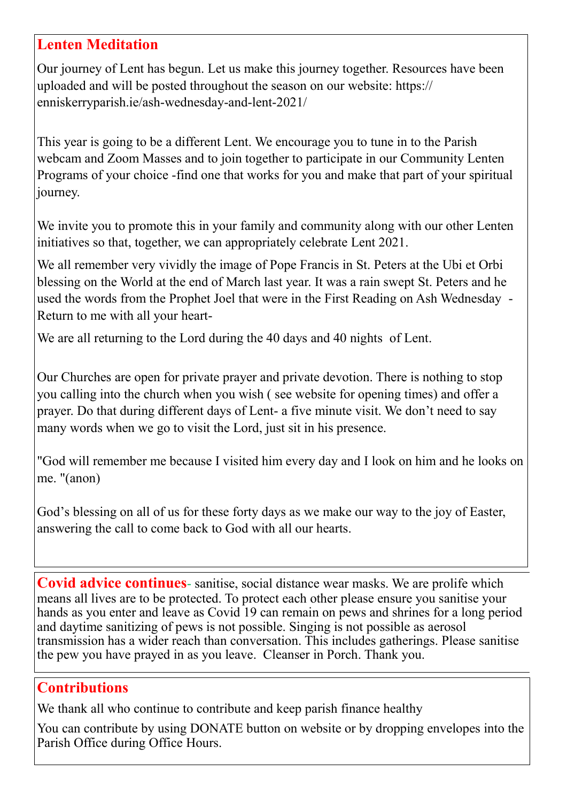## **Lenten Meditation**

Our journey of Lent has begun. Let us make this journey together. Resources have been uploaded and will be posted throughout the season on our website: [https://](https://enniskerryparish.ie/ash-wednesday-and-lent-2021/) [enniskerryparish.ie/ash](https://enniskerryparish.ie/ash-wednesday-and-lent-2021/)-wednesday-and-lent-2021/

This year is going to be a different Lent. We encourage you to tune in to the Parish webcam and Zoom Masses and to join together to participate in our Community Lenten Programs of your choice -find one that works for you and make that part of your spiritual journey.

We invite you to promote this in your family and community along with our other Lenten initiatives so that, together, we can appropriately celebrate Lent 2021.

We all remember very vividly the image of Pope Francis in St. Peters at the Ubi et Orbi blessing on the World at the end of March last year. It was a rain swept St. Peters and he used the words from the Prophet Joel that were in the First Reading on Ash Wednesday - Return to me with all your heart-

We are all returning to the Lord during the 40 days and 40 nights of Lent.

Our Churches are open for private prayer and private devotion. There is nothing to stop you calling into the church when you wish ( see website for opening times) and offer a prayer. Do that during different days of Lent- a five minute visit. We don't need to say many words when we go to visit the Lord, just sit in his presence.

"God will remember me because I visited him every day and I look on him and he looks on me. "(anon)

God's blessing on all of us for these forty days as we make our way to the joy of Easter, answering the call to come back to God with all our hearts.

**Covid advice continues**- sanitise, social distance wear masks. We are prolife which means all lives are to be protected. To protect each other please ensure you sanitise your hands as you enter and leave as Covid 19 can remain on pews and shrines for a long period and daytime sanitizing of pews is not possible. Singing is not possible as aerosol transmission has a wider reach than conversation. This includes gatherings. Please sanitise the pew you have prayed in as you leave. Cleanser in Porch. Thank you.

### **Contributions**

We thank all who continue to contribute and keep parish finance healthy

You can contribute by using DONATE button on website or by dropping envelopes into the Parish Office during Office Hours.